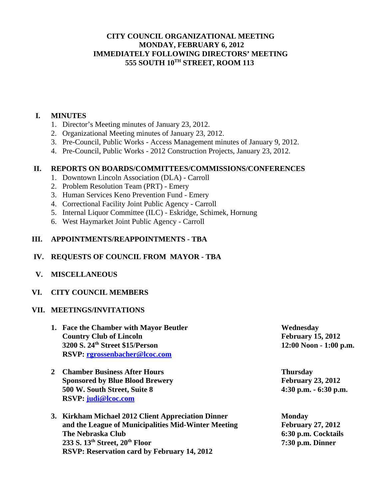# **CITY COUNCIL ORGANIZATIONAL MEETING MONDAY, FEBRUARY 6, 2012 IMMEDIATELY FOLLOWING DIRECTORS' MEETING 555 SOUTH 10TH STREET, ROOM 113**

## **I. MINUTES**

- 1. Director's Meeting minutes of January 23, 2012.
- 2. Organizational Meeting minutes of January 23, 2012.
- 3. Pre-Council, Public Works Access Management minutes of January 9, 2012.
- 4. Pre-Council, Public Works 2012 Construction Projects, January 23, 2012.

#### **II. REPORTS ON BOARDS/COMMITTEES/COMMISSIONS/CONFERENCES**

- 1. Downtown Lincoln Association (DLA) Carroll
- 2. Problem Resolution Team (PRT) Emery
- 3. Human Services Keno Prevention Fund Emery
- 4. Correctional Facility Joint Public Agency Carroll
- 5. Internal Liquor Committee (ILC) Eskridge, Schimek, Hornung
- 6. West Haymarket Joint Public Agency Carroll

## **III. APPOINTMENTS/REAPPOINTMENTS - TBA**

## **IV. REQUESTS OF COUNCIL FROM MAYOR - TBA**

 **V. MISCELLANEOUS** 

## **VI. CITY COUNCIL MEMBERS**

#### **VII. MEETINGS/INVITATIONS**

- **1. Face the Chamber with Mayor Beutler Wednesday Country Club of Lincoln** February 15, 2012 **3200 S. 24th Street \$15/Person 12:00 Noon - 1:00 p.m. RSVP: rgrossenbacher@lcoc.com**
- **2 Chamber Business After Hours Thursday Sponsored by Blue Blood Brewery February 23, 2012 500 W. South Street, Suite 8 4:30 p.m. - 6:30 p.m. RSVP: judi@lcoc.com**
- **3. Kirkham Michael 2012 Client Appreciation Dinner Monday** and the League of Municipalities Mid-Winter Meeting February 27, 2012 **The Nebraska Club 6:30 p.m. Cocktails 233 S. 13th Street, 20th Floor 7:30 p.m. Dinner RSVP: Reservation card by February 14, 2012**